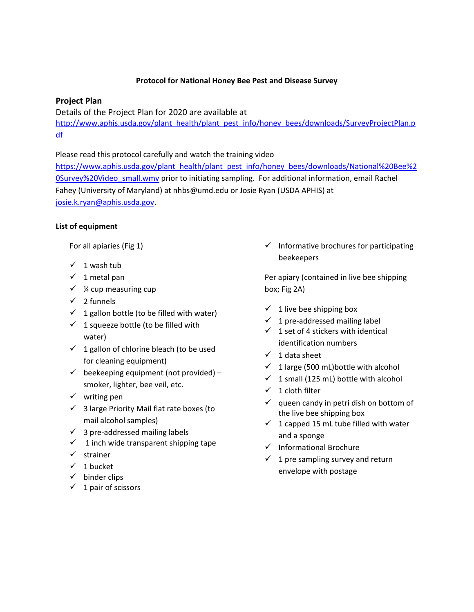#### **Protocol for National Honey Bee Pest and Disease Survey**

## **Project Plan**

Details of the Project Plan for 2020 are available at

[http://www.aphis.usda.gov/plant\\_health/plant\\_pest\\_info/honey\\_bees/downloads/SurveyProjectPlan.p](http://www.aphis.usda.gov/plant_health/plant_pest_info/honey_bees/downloads/SurveyProjectPlan.pdf) [df](http://www.aphis.usda.gov/plant_health/plant_pest_info/honey_bees/downloads/SurveyProjectPlan.pdf)

Please read this protocol carefully and watch the training video

[https://www.aphis.usda.gov/plant\\_health/plant\\_pest\\_info/honey\\_bees/downloads/National%20Bee%2](https://www.aphis.usda.gov/plant_health/plant_pest_info/honey_bees/downloads/National%20Bee%20Survey%20Video_small.wmv) [0Survey%20Video\\_small.wmv](https://www.aphis.usda.gov/plant_health/plant_pest_info/honey_bees/downloads/National%20Bee%20Survey%20Video_small.wmv) prior to initiating sampling. For additional information, email Rachel Fahey (University of Maryland) at nhbs@umd.edu or Josie Ryan (USDA APHIS) at [josie.k.ryan@aphis.usda.gov.](mailto:josie.k.ryan@aphis.usda.gov)

### **List of equipment**

For all apiaries (Fig 1)

- $\checkmark$  1 wash tub
- $\checkmark$  1 metal pan
- $\checkmark$  % cup measuring cup
- $\checkmark$  2 funnels
- $\checkmark$  1 gallon bottle (to be filled with water)
- $\checkmark$  1 squeeze bottle (to be filled with water)
- $\checkmark$  1 gallon of chlorine bleach (to be used for cleaning equipment)
- $\checkmark$  beekeeping equipment (not provided) smoker, lighter, bee veil, etc.
- $\checkmark$  writing pen
- $\checkmark$  3 large Priority Mail flat rate boxes (to mail alcohol samples)
- $\checkmark$  3 pre-addressed mailing labels
- $\checkmark$  1 inch wide transparent shipping tape
- $\checkmark$  strainer
- $\checkmark$  1 bucket
- $\checkmark$  binder clips
- $\checkmark$  1 pair of scissors

 $\checkmark$  Informative brochures for participating beekeepers

Per apiary (contained in live bee shipping box; Fig 2A)

- $\checkmark$  1 live bee shipping box
- $\checkmark$  1 pre-addressed mailing label
- $\checkmark$  1 set of 4 stickers with identical identification numbers
- $\checkmark$  1 data sheet
- $\checkmark$  1 large (500 mL) bottle with alcohol
- $\checkmark$  1 small (125 mL) bottle with alcohol
- $\checkmark$  1 cloth filter
- $\checkmark$  queen candy in petri dish on bottom of the live bee shipping box
- $\checkmark$  1 capped 15 mL tube filled with water and a sponge
- $\checkmark$  Informational Brochure
- $\checkmark$  1 pre sampling survey and return envelope with postage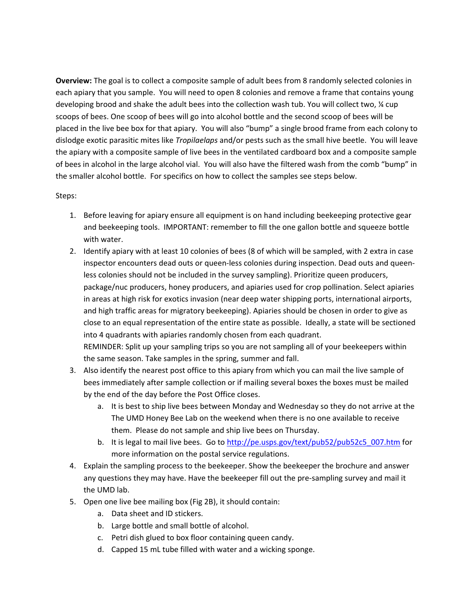**Overview:** The goal is to collect a composite sample of adult bees from 8 randomly selected colonies in each apiary that you sample. You will need to open 8 colonies and remove a frame that contains young developing brood and shake the adult bees into the collection wash tub. You will collect two, ¼ cup scoops of bees. One scoop of bees will go into alcohol bottle and the second scoop of bees will be placed in the live bee box for that apiary. You will also "bump" a single brood frame from each colony to dislodge exotic parasitic mites like *Tropilaelaps* and/or pests such as the small hive beetle. You will leave the apiary with a composite sample of live bees in the ventilated cardboard box and a composite sample of bees in alcohol in the large alcohol vial. You will also have the filtered wash from the comb "bump" in the smaller alcohol bottle. For specifics on how to collect the samples see steps below.

#### Steps:

- 1. Before leaving for apiary ensure all equipment is on hand including beekeeping protective gear and beekeeping tools. IMPORTANT: remember to fill the one gallon bottle and squeeze bottle with water.
- 2. Identify apiary with at least 10 colonies of bees (8 of which will be sampled, with 2 extra in case inspector encounters dead outs or queen-less colonies during inspection. Dead outs and queenless colonies should not be included in the survey sampling). Prioritize queen producers, package/nuc producers, honey producers, and apiaries used for crop pollination. Select apiaries in areas at high risk for exotics invasion (near deep water shipping ports, international airports, and high traffic areas for migratory beekeeping). Apiaries should be chosen in order to give as close to an equal representation of the entire state as possible. Ideally, a state will be sectioned into 4 quadrants with apiaries randomly chosen from each quadrant. REMINDER: Split up your sampling trips so you are not sampling all of your beekeepers within the same season. Take samples in the spring, summer and fall.
- 3. Also identify the nearest post office to this apiary from which you can mail the live sample of bees immediately after sample collection or if mailing several boxes the boxes must be mailed by the end of the day before the Post Office closes.
	- a. It is best to ship live bees between Monday and Wednesday so they do not arrive at the The UMD Honey Bee Lab on the weekend when there is no one available to receive them. Please do not sample and ship live bees on Thursday.
	- b. It is legal to mail live bees. Go to [http://pe.usps.gov/text/pub52/pub52c5\\_007.htm](http://pe.usps.gov/text/pub52/pub52c5_007.htm) for more information on the postal service regulations.
- 4. Explain the sampling process to the beekeeper. Show the beekeeper the brochure and answer any questions they may have. Have the beekeeper fill out the pre-sampling survey and mail it the UMD lab.
- 5. Open one live bee mailing box (Fig 2B), it should contain:
	- a. Data sheet and ID stickers.
	- b. Large bottle and small bottle of alcohol.
	- c. Petri dish glued to box floor containing queen candy.
	- d. Capped 15 mL tube filled with water and a wicking sponge.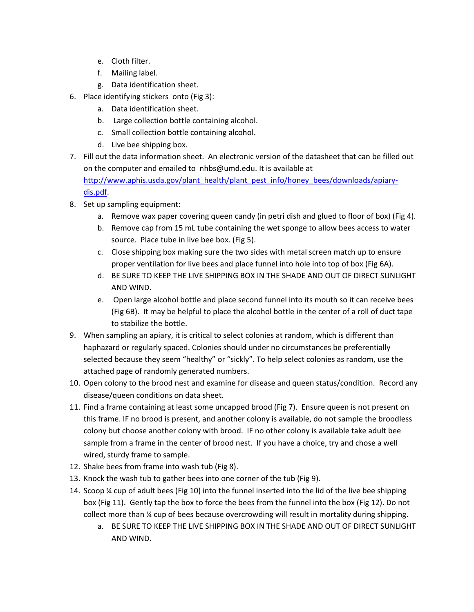- e. Cloth filter.
- f. Mailing label.
- g. Data identification sheet.
- 6. Place identifying stickers onto (Fig 3):
	- a. Data identification sheet.
	- b. Large collection bottle containing alcohol.
	- c. Small collection bottle containing alcohol.
	- d. Live bee shipping box.
- 7. Fill out the data information sheet. An electronic version of the datasheet that can be filled out on the computer and emailed to [nhbs@umd.edu.](mailto:faheybrl@umd.edu.) It is available at [http://www.aphis.usda.gov/plant\\_health/plant\\_pest\\_info/honey\\_bees/downloads/apiary](http://www.aphis.usda.gov/plant_health/plant_pest_info/honey_bees/downloads/apiary-dis.pdf)[dis.pdf.](http://www.aphis.usda.gov/plant_health/plant_pest_info/honey_bees/downloads/apiary-dis.pdf)
- 8. Set up sampling equipment:
	- a. Remove wax paper covering queen candy (in petri dish and glued to floor of box) (Fig 4).
	- b. Remove cap from 15 mL tube containing the wet sponge to allow bees access to water source. Place tube in live bee box. (Fig 5).
	- c. Close shipping box making sure the two sides with metal screen match up to ensure proper ventilation for live bees and place funnel into hole into top of box (Fig 6A).
	- d. BE SURE TO KEEP THE LIVE SHIPPING BOX IN THE SHADE AND OUT OF DIRECT SUNLIGHT AND WIND.
	- e. Open large alcohol bottle and place second funnel into its mouth so it can receive bees (Fig 6B). It may be helpful to place the alcohol bottle in the center of a roll of duct tape to stabilize the bottle.
- 9. When sampling an apiary, it is critical to select colonies at random, which is different than haphazard or regularly spaced. Colonies should under no circumstances be preferentially selected because they seem "healthy" or "sickly". To help select colonies as random, use the attached page of randomly generated numbers.
- 10. Open colony to the brood nest and examine for disease and queen status/condition. Record any disease/queen conditions on data sheet.
- 11. Find a frame containing at least some uncapped brood (Fig 7). Ensure queen is not present on this frame. IF no brood is present, and another colony is available, do not sample the broodless colony but choose another colony with brood. IF no other colony is available take adult bee sample from a frame in the center of brood nest. If you have a choice, try and chose a well wired, sturdy frame to sample.
- 12. Shake bees from frame into wash tub (Fig 8).
- 13. Knock the wash tub to gather bees into one corner of the tub (Fig 9).
- 14. Scoop  $\frac{1}{4}$  cup of adult bees (Fig 10) into the funnel inserted into the lid of the live bee shipping box (Fig 11). Gently tap the box to force the bees from the funnel into the box (Fig 12). Do not collect more than ¼ cup of bees because overcrowding will result in mortality during shipping.
	- a. BE SURE TO KEEP THE LIVE SHIPPING BOX IN THE SHADE AND OUT OF DIRECT SUNLIGHT AND WIND.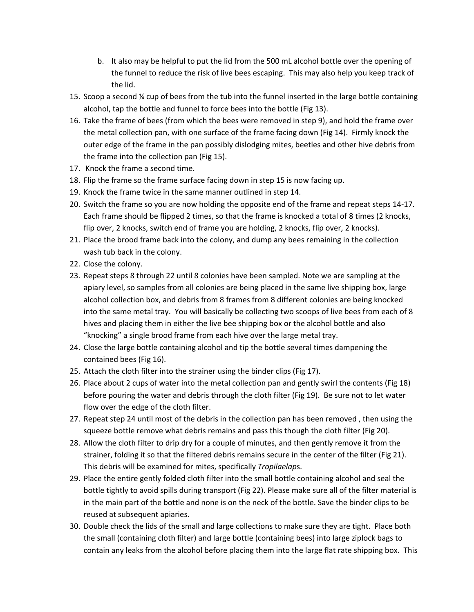- b. It also may be helpful to put the lid from the 500 mL alcohol bottle over the opening of the funnel to reduce the risk of live bees escaping. This may also help you keep track of the lid.
- 15. Scoop a second ¼ cup of bees from the tub into the funnel inserted in the large bottle containing alcohol, tap the bottle and funnel to force bees into the bottle (Fig 13).
- 16. Take the frame of bees (from which the bees were removed in step 9), and hold the frame over the metal collection pan, with one surface of the frame facing down (Fig 14). Firmly knock the outer edge of the frame in the pan possibly dislodging mites, beetles and other hive debris from the frame into the collection pan (Fig 15).
- 17. Knock the frame a second time.
- 18. Flip the frame so the frame surface facing down in step 15 is now facing up.
- 19. Knock the frame twice in the same manner outlined in step 14.
- 20. Switch the frame so you are now holding the opposite end of the frame and repeat steps 14-17. Each frame should be flipped 2 times, so that the frame is knocked a total of 8 times (2 knocks, flip over, 2 knocks, switch end of frame you are holding, 2 knocks, flip over, 2 knocks).
- 21. Place the brood frame back into the colony, and dump any bees remaining in the collection wash tub back in the colony.
- 22. Close the colony.
- 23. Repeat steps 8 through 22 until 8 colonies have been sampled. Note we are sampling at the apiary level, so samples from all colonies are being placed in the same live shipping box, large alcohol collection box, and debris from 8 frames from 8 different colonies are being knocked into the same metal tray. You will basically be collecting two scoops of live bees from each of 8 hives and placing them in either the live bee shipping box or the alcohol bottle and also "knocking" a single brood frame from each hive over the large metal tray.
- 24. Close the large bottle containing alcohol and tip the bottle several times dampening the contained bees (Fig 16).
- 25. Attach the cloth filter into the strainer using the binder clips (Fig 17).
- 26. Place about 2 cups of water into the metal collection pan and gently swirl the contents (Fig 18) before pouring the water and debris through the cloth filter (Fig 19). Be sure not to let water flow over the edge of the cloth filter.
- 27. Repeat step 24 until most of the debris in the collection pan has been removed , then using the squeeze bottle remove what debris remains and pass this though the cloth filter (Fig 20).
- 28. Allow the cloth filter to drip dry for a couple of minutes, and then gently remove it from the strainer, folding it so that the filtered debris remains secure in the center of the filter (Fig 21). This debris will be examined for mites, specifically *Tropilaelap*s.
- 29. Place the entire gently folded cloth filter into the small bottle containing alcohol and seal the bottle tightly to avoid spills during transport (Fig 22). Please make sure all of the filter material is in the main part of the bottle and none is on the neck of the bottle. Save the binder clips to be reused at subsequent apiaries.
- 30. Double check the lids of the small and large collections to make sure they are tight. Place both the small (containing cloth filter) and large bottle (containing bees) into large ziplock bags to contain any leaks from the alcohol before placing them into the large flat rate shipping box. This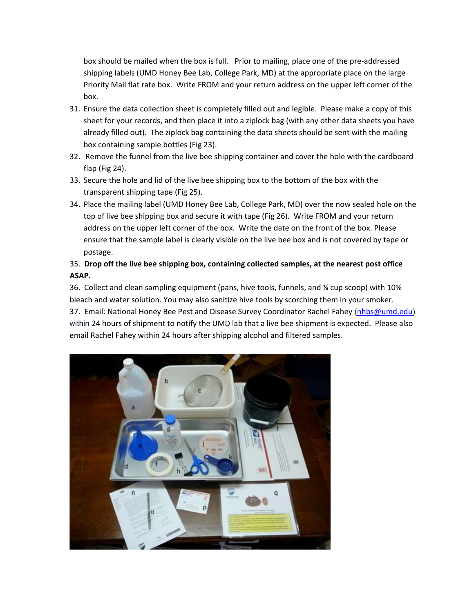box should be mailed when the box is full. Prior to mailing, place one of the pre-addressed shipping labels (UMD Honey Bee Lab, College Park, MD) at the appropriate place on the large Priority Mail flat rate box. Write FROM and your return address on the upper left corner of the box.

- 31. Ensure the data collection sheet is completely filled out and legible. Please make a copy of this sheet for your records, and then place it into a ziplock bag (with any other data sheets you have already filled out). The ziplock bag containing the data sheets should be sent with the mailing box containing sample bottles (Fig 23).
- 32. Remove the funnel from the live bee shipping container and cover the hole with the cardboard flap (Fig 24).
- 33. Secure the hole and lid of the live bee shipping box to the bottom of the box with the transparent shipping tape (Fig 25).
- 34. Place the mailing label (UMD Honey Bee Lab, College Park, MD) over the now sealed hole on the top of live bee shipping box and secure it with tape (Fig 26). Write FROM and your return address on the upper left corner of the box. Write the date on the front of the box. Please ensure that the sample label is clearly visible on the live bee box and is not covered by tape or postage.

# 35. **Drop off the live bee shipping box, containing collected samples, at the nearest post office ASAP.**

36. Collect and clean sampling equipment (pans, hive tools, funnels, and ¼ cup scoop) with 10% bleach and water solution. You may also sanitize hive tools by scorching them in your smoker. 37. Email: National Honey Bee Pest and Disease Survey Coordinator Rachel Fahey ([nhbs@umd.edu](mailto:faheybrl@umd.edu)) within 24 hours of shipment to notify the UMD lab that a live bee shipment is expected. Please also email Rachel Fahey within 24 hours after shipping alcohol and filtered samples.

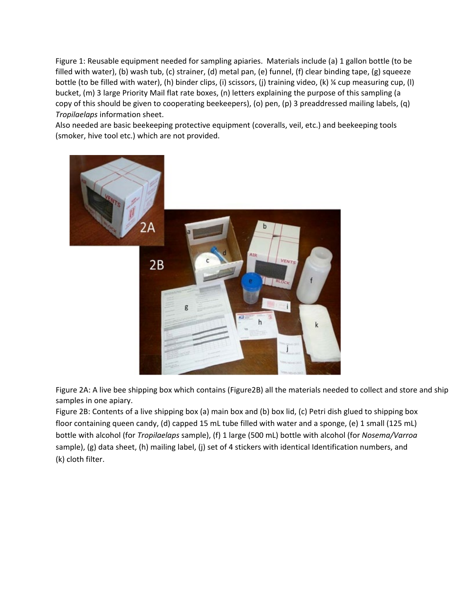Figure 1: Reusable equipment needed for sampling apiaries. Materials include (a) 1 gallon bottle (to be filled with water), (b) wash tub, (c) strainer, (d) metal pan, (e) funnel, (f) clear binding tape, (g) squeeze bottle (to be filled with water), (h) binder clips, (i) scissors, (j) training video, (k) ¼ cup measuring cup, (l) bucket, (m) 3 large Priority Mail flat rate boxes, (n) letters explaining the purpose of this sampling (a copy of this should be given to cooperating beekeepers), (o) pen, (p) 3 preaddressed mailing labels, (q) *Tropilaelaps* information sheet.

Also needed are basic beekeeping protective equipment (coveralls, veil, etc.) and beekeeping tools (smoker, hive tool etc.) which are not provided.



Figure 2A: A live bee shipping box which contains (Figure2B) all the materials needed to collect and store and ship samples in one apiary.

Figure 2B: Contents of a live shipping box (a) main box and (b) box lid, (c) Petri dish glued to shipping box floor containing queen candy, (d) capped 15 mL tube filled with water and a sponge, (e) 1 small (125 mL) bottle with alcohol (for *Tropilaelaps* sample), (f) 1 large (500 mL) bottle with alcohol (for *Nosema/Varroa* sample), (g) data sheet, (h) mailing label, (j) set of 4 stickers with identical Identification numbers, and (k) cloth filter.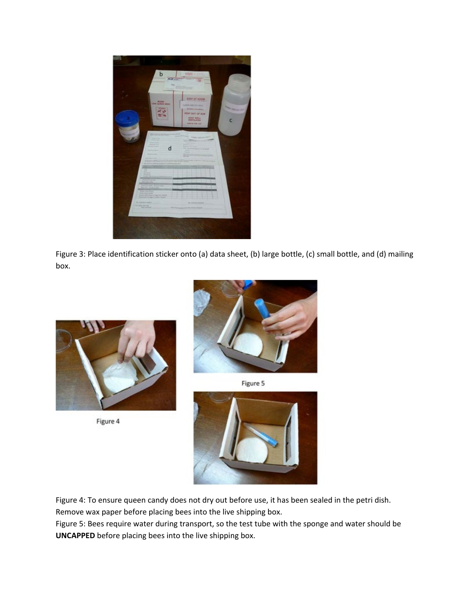

Figure 3: Place identification sticker onto (a) data sheet, (b) large bottle, (c) small bottle, and (d) mailing box.



Figure 4



Figure 5



Figure 4: To ensure queen candy does not dry out before use, it has been sealed in the petri dish. Remove wax paper before placing bees into the live shipping box.

Figure 5: Bees require water during transport, so the test tube with the sponge and water should be **UNCAPPED** before placing bees into the live shipping box.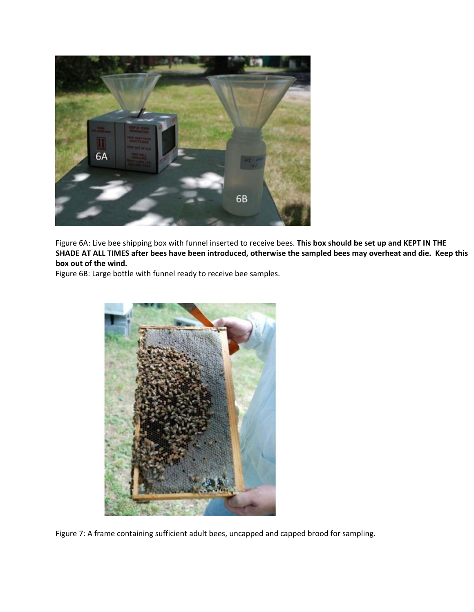

Figure 6A: Live bee shipping box with funnel inserted to receive bees. **This box should be set up and KEPT IN THE SHADE AT ALL TIMES after bees have been introduced, otherwise the sampled bees may overheat and die. Keep this box out of the wind.**

Figure 6B: Large bottle with funnel ready to receive bee samples.



Figure 7: A frame containing sufficient adult bees, uncapped and capped brood for sampling.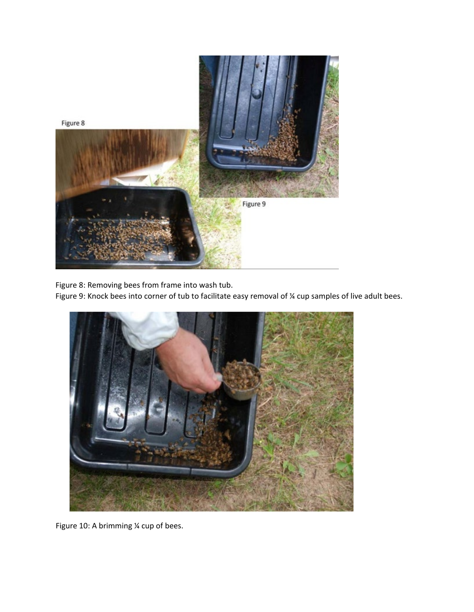

Figure 8: Removing bees from frame into wash tub.

Figure 9: Knock bees into corner of tub to facilitate easy removal of ¼ cup samples of live adult bees.



Figure 10: A brimming ¼ cup of bees.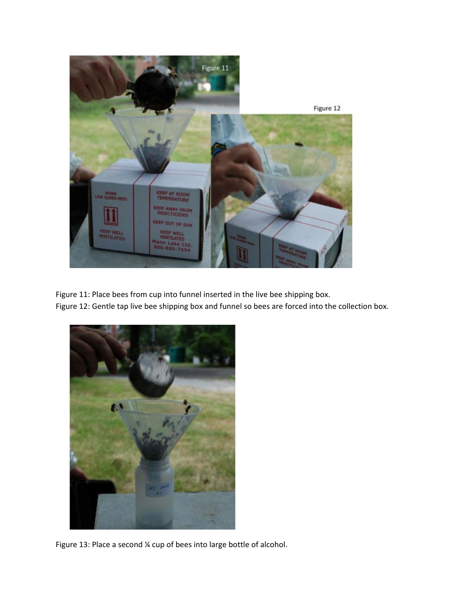

Figure 11: Place bees from cup into funnel inserted in the live bee shipping box. Figure 12: Gentle tap live bee shipping box and funnel so bees are forced into the collection box.



Figure 13: Place a second ¼ cup of bees into large bottle of alcohol.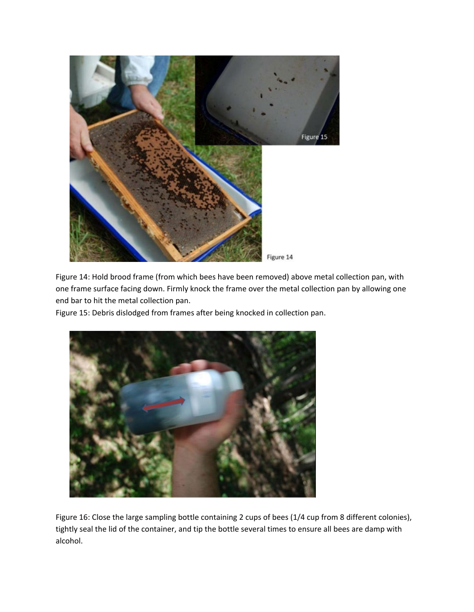

Figure 14: Hold brood frame (from which bees have been removed) above metal collection pan, with one frame surface facing down. Firmly knock the frame over the metal collection pan by allowing one end bar to hit the metal collection pan.

Figure 15: Debris dislodged from frames after being knocked in collection pan.



Figure 16: Close the large sampling bottle containing 2 cups of bees (1/4 cup from 8 different colonies), tightly seal the lid of the container, and tip the bottle several times to ensure all bees are damp with alcohol.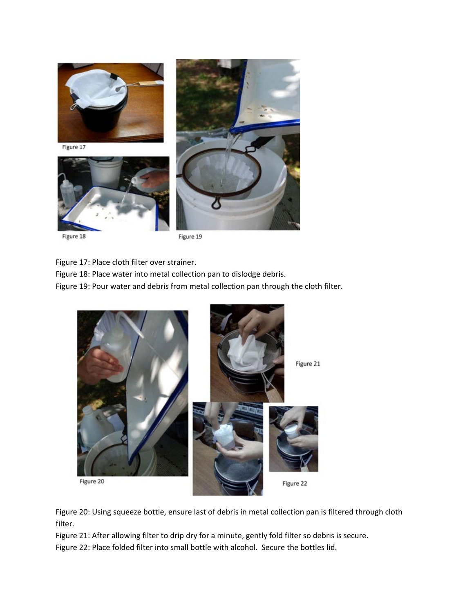

Figure 18

Figure 19

Figure 17: Place cloth filter over strainer.

Figure 18: Place water into metal collection pan to dislodge debris.

Figure 19: Pour water and debris from metal collection pan through the cloth filter.



Figure 20: Using squeeze bottle, ensure last of debris in metal collection pan is filtered through cloth filter.

Figure 21: After allowing filter to drip dry for a minute, gently fold filter so debris is secure.

Figure 22: Place folded filter into small bottle with alcohol. Secure the bottles lid.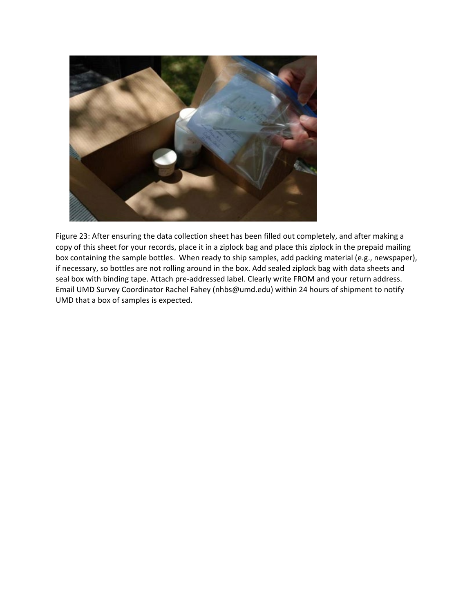

Figure 23: After ensuring the data collection sheet has been filled out completely, and after making a copy of this sheet for your records, place it in a ziplock bag and place this ziplock in the prepaid mailing box containing the sample bottles. When ready to ship samples, add packing material (e.g., newspaper), if necessary, so bottles are not rolling around in the box. Add sealed ziplock bag with data sheets and seal box with binding tape. Attach pre-addressed label. Clearly write FROM and your return address. Email UMD Survey Coordinator Rachel Fahey (nhbs@umd.edu) within 24 hours of shipment to notify UMD that a box of samples is expected.